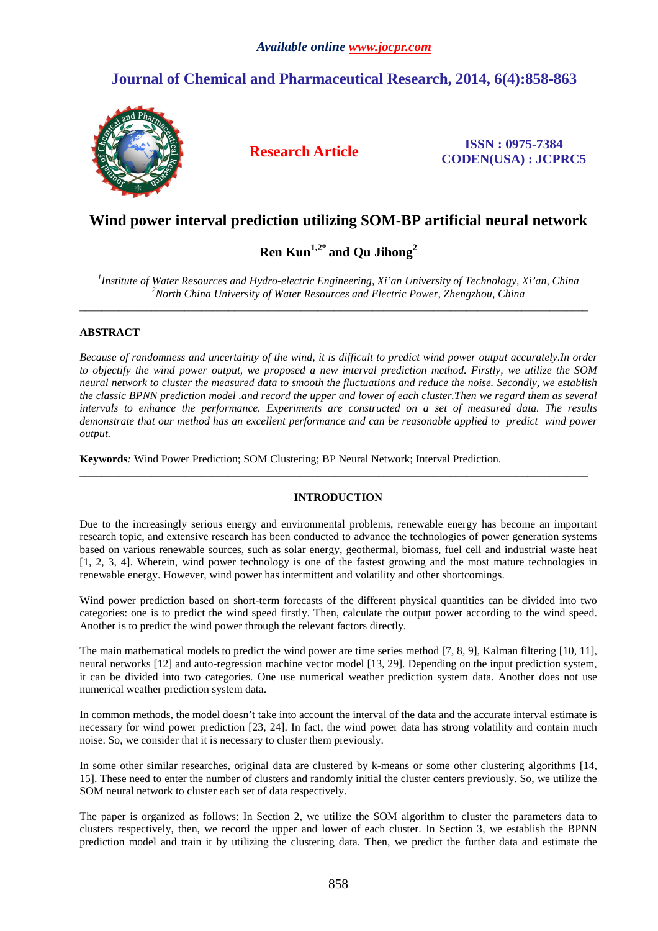# **Journal of Chemical and Pharmaceutical Research, 2014, 6(4):858-863**



**Research Article ISSN : 0975-7384 CODEN(USA) : JCPRC5**

# **Wind power interval prediction utilizing SOM-BP artificial neural network**

# **Ren Kun1,2\* and Qu Jihong<sup>2</sup>**

*1 Institute of Water Resources and Hydro-electric Engineering, Xi'an University of Technology, Xi'an, China <sup>2</sup>North China University of Water Resources and Electric Power, Zhengzhou, China* 

 $\overline{\phantom{a}}$  , and the set of the set of the set of the set of the set of the set of the set of the set of the set of the set of the set of the set of the set of the set of the set of the set of the set of the set of the s

## **ABSTRACT**

*Because of randomness and uncertainty of the wind, it is difficult to predict wind power output accurately.In order to objectify the wind power output, we proposed a new interval prediction method. Firstly, we utilize the SOM neural network to cluster the measured data to smooth the fluctuations and reduce the noise. Secondly, we establish the classic BPNN prediction model .and record the upper and lower of each cluster.Then we regard them as several intervals to enhance the performance. Experiments are constructed on a set of measured data. The results demonstrate that our method has an excellent performance and can be reasonable applied to predict wind power output.* 

**Keywords***:* Wind Power Prediction; SOM Clustering; BP Neural Network; Interval Prediction.

## **INTRODUCTION**

 $\overline{\phantom{a}}$  , and the set of the set of the set of the set of the set of the set of the set of the set of the set of the set of the set of the set of the set of the set of the set of the set of the set of the set of the s

Due to the increasingly serious energy and environmental problems, renewable energy has become an important research topic, and extensive research has been conducted to advance the technologies of power generation systems based on various renewable sources, such as solar energy, geothermal, biomass, fuel cell and industrial waste heat [1, 2, 3, 4]. Wherein, wind power technology is one of the fastest growing and the most mature technologies in renewable energy. However, wind power has intermittent and volatility and other shortcomings.

Wind power prediction based on short-term forecasts of the different physical quantities can be divided into two categories: one is to predict the wind speed firstly. Then, calculate the output power according to the wind speed. Another is to predict the wind power through the relevant factors directly.

The main mathematical models to predict the wind power are time series method [7, 8, 9], Kalman filtering [10, 11], neural networks [12] and auto-regression machine vector model [13, 29]. Depending on the input prediction system, it can be divided into two categories. One use numerical weather prediction system data. Another does not use numerical weather prediction system data.

In common methods, the model doesn't take into account the interval of the data and the accurate interval estimate is necessary for wind power prediction [23, 24]. In fact, the wind power data has strong volatility and contain much noise. So, we consider that it is necessary to cluster them previously.

In some other similar researches, original data are clustered by k-means or some other clustering algorithms [14, 15]. These need to enter the number of clusters and randomly initial the cluster centers previously. So, we utilize the SOM neural network to cluster each set of data respectively.

The paper is organized as follows: In Section 2, we utilize the SOM algorithm to cluster the parameters data to clusters respectively, then, we record the upper and lower of each cluster. In Section 3, we establish the BPNN prediction model and train it by utilizing the clustering data. Then, we predict the further data and estimate the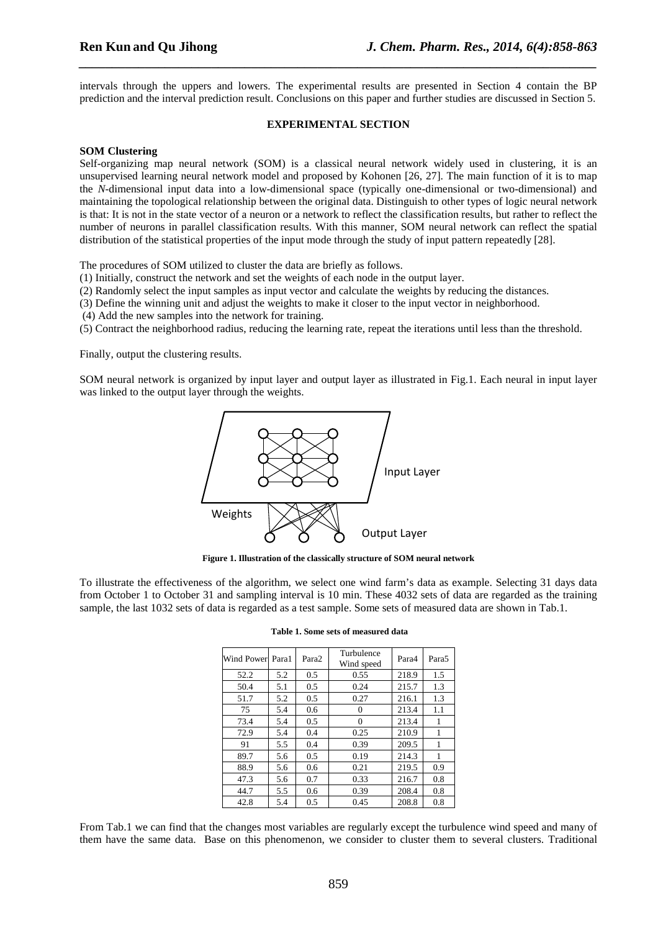intervals through the uppers and lowers. The experimental results are presented in Section 4 contain the BP prediction and the interval prediction result. Conclusions on this paper and further studies are discussed in Section 5.

*\_\_\_\_\_\_\_\_\_\_\_\_\_\_\_\_\_\_\_\_\_\_\_\_\_\_\_\_\_\_\_\_\_\_\_\_\_\_\_\_\_\_\_\_\_\_\_\_\_\_\_\_\_\_\_\_\_\_\_\_\_\_\_\_\_\_\_\_\_\_\_\_\_\_\_\_\_\_*

#### **EXPERIMENTAL SECTION**

#### **SOM Clustering**

Self-organizing map neural network (SOM) is a classical neural network widely used in clustering, it is an unsupervised learning neural network model and proposed by Kohonen [26, 27]. The main function of it is to map the *N*-dimensional input data into a low-dimensional space (typically one-dimensional or two-dimensional) and maintaining the topological relationship between the original data. Distinguish to other types of logic neural network is that: It is not in the state vector of a neuron or a network to reflect the classification results, but rather to reflect the number of neurons in parallel classification results. With this manner, SOM neural network can reflect the spatial distribution of the statistical properties of the input mode through the study of input pattern repeatedly [28].

The procedures of SOM utilized to cluster the data are briefly as follows.

- (1) Initially, construct the network and set the weights of each node in the output layer.
- (2) Randomly select the input samples as input vector and calculate the weights by reducing the distances.
- (3) Define the winning unit and adjust the weights to make it closer to the input vector in neighborhood.
- (4) Add the new samples into the network for training.
- (5) Contract the neighborhood radius, reducing the learning rate, repeat the iterations until less than the threshold.

Finally, output the clustering results.

SOM neural network is organized by input layer and output layer as illustrated in Fig.1. Each neural in input layer was linked to the output layer through the weights.



**Figure 1. Illustration of the classically structure of SOM neural network** 

To illustrate the effectiveness of the algorithm, we select one wind farm's data as example. Selecting 31 days data from October 1 to October 31 and sampling interval is 10 min. These 4032 sets of data are regarded as the training sample, the last 1032 sets of data is regarded as a test sample. Some sets of measured data are shown in Tab.1.

| Wind Power Para1 |     | Para <sub>2</sub> | Turbulence<br>Wind speed | Para4 | Para <sub>5</sub> |
|------------------|-----|-------------------|--------------------------|-------|-------------------|
| 52.2             | 5.2 | 0.5               | 0.55                     | 218.9 | 1.5               |
| 50.4             | 5.1 | 0.5               | 0.24                     | 215.7 | 1.3               |
| 51.7             | 5.2 | 0.5               | 0.27                     | 216.1 | 1.3               |
| 75               | 5.4 | 0.6               | 0                        | 213.4 | 1.1               |
| 73.4             | 5.4 | 0.5               | $\mathbf{0}$             | 213.4 | 1                 |
| 72.9             | 5.4 | 0.4               | 0.25                     | 210.9 | 1                 |
| 91               | 5.5 | 0.4               | 0.39                     | 209.5 | 1                 |
| 89.7             | 5.6 | 0.5               | 0.19                     | 214.3 | 1                 |
| 88.9             | 5.6 | 0.6               | 0.21                     | 219.5 | 0.9               |
| 47.3             | 5.6 | 0.7               | 0.33                     | 216.7 | 0.8               |
| 44.7             | 5.5 | 0.6               | 0.39                     | 208.4 | 0.8               |
| 42.8             | 5.4 | 0.5               | 0.45                     | 208.8 | 0.8               |

**Table 1. Some sets of measured data** 

From Tab.1 we can find that the changes most variables are regularly except the turbulence wind speed and many of them have the same data. Base on this phenomenon, we consider to cluster them to several clusters. Traditional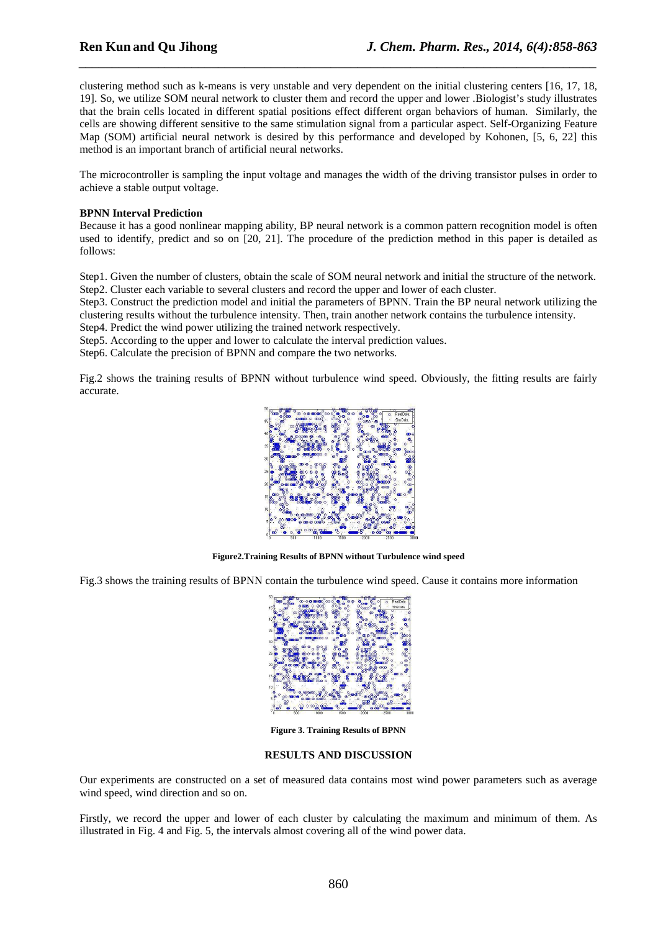clustering method such as k-means is very unstable and very dependent on the initial clustering centers [16, 17, 18, 19]. So, we utilize SOM neural network to cluster them and record the upper and lower .Biologist's study illustrates that the brain cells located in different spatial positions effect different organ behaviors of human. Similarly, the cells are showing different sensitive to the same stimulation signal from a particular aspect. Self-Organizing Feature Map (SOM) artificial neural network is desired by this performance and developed by Kohonen, [5, 6, 22] this method is an important branch of artificial neural networks.

*\_\_\_\_\_\_\_\_\_\_\_\_\_\_\_\_\_\_\_\_\_\_\_\_\_\_\_\_\_\_\_\_\_\_\_\_\_\_\_\_\_\_\_\_\_\_\_\_\_\_\_\_\_\_\_\_\_\_\_\_\_\_\_\_\_\_\_\_\_\_\_\_\_\_\_\_\_\_*

The microcontroller is sampling the input voltage and manages the width of the driving transistor pulses in order to achieve a stable output voltage.

### **BPNN Interval Prediction**

Because it has a good nonlinear mapping ability, BP neural network is a common pattern recognition model is often used to identify, predict and so on [20, 21]. The procedure of the prediction method in this paper is detailed as follows:

Step1. Given the number of clusters, obtain the scale of SOM neural network and initial the structure of the network. Step2. Cluster each variable to several clusters and record the upper and lower of each cluster.

Step3. Construct the prediction model and initial the parameters of BPNN. Train the BP neural network utilizing the clustering results without the turbulence intensity. Then, train another network contains the turbulence intensity.

Step4. Predict the wind power utilizing the trained network respectively.

Step5. According to the upper and lower to calculate the interval prediction values.

Step6. Calculate the precision of BPNN and compare the two networks.

Fig.2 shows the training results of BPNN without turbulence wind speed. Obviously, the fitting results are fairly accurate.



**Figure2.Training Results of BPNN without Turbulence wind speed** 

Fig.3 shows the training results of BPNN contain the turbulence wind speed. Cause it contains more information



**Figure 3. Training Results of BPNN** 

### **RESULTS AND DISCUSSION**

Our experiments are constructed on a set of measured data contains most wind power parameters such as average wind speed, wind direction and so on.

Firstly, we record the upper and lower of each cluster by calculating the maximum and minimum of them. As illustrated in Fig. 4 and Fig. 5, the intervals almost covering all of the wind power data.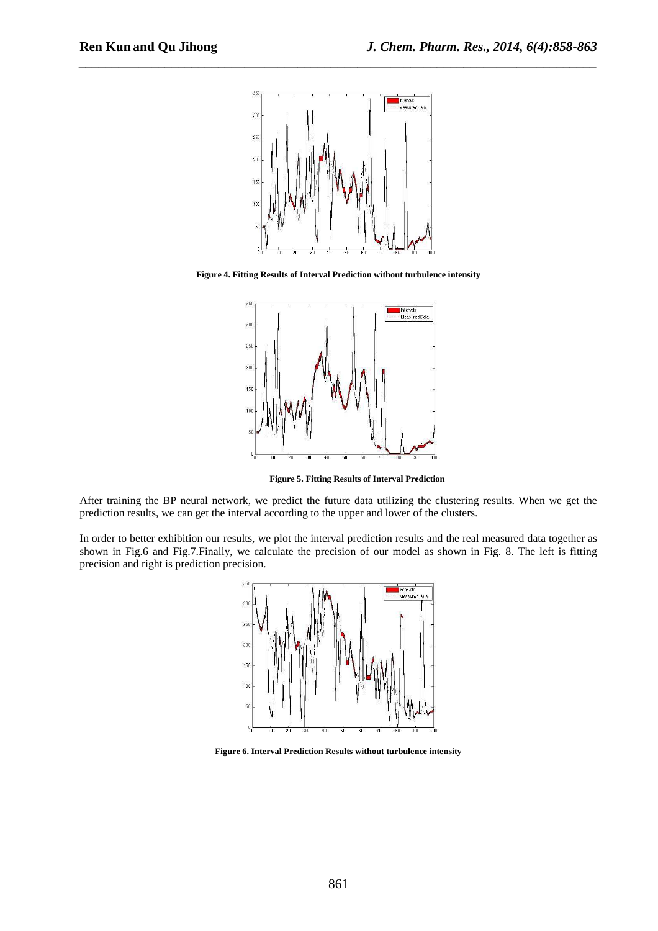

*\_\_\_\_\_\_\_\_\_\_\_\_\_\_\_\_\_\_\_\_\_\_\_\_\_\_\_\_\_\_\_\_\_\_\_\_\_\_\_\_\_\_\_\_\_\_\_\_\_\_\_\_\_\_\_\_\_\_\_\_\_\_\_\_\_\_\_\_\_\_\_\_\_\_\_\_\_\_*

**Figure 4. Fitting Results of Interval Prediction without turbulence intensity** 



 **Figure 5. Fitting Results of Interval Prediction** 

After training the BP neural network, we predict the future data utilizing the clustering results. When we get the prediction results, we can get the interval according to the upper and lower of the clusters.

In order to better exhibition our results, we plot the interval prediction results and the real measured data together as shown in Fig.6 and Fig.7.Finally, we calculate the precision of our model as shown in Fig. 8. The left is fitting precision and right is prediction precision.



**Figure 6. Interval Prediction Results without turbulence intensity**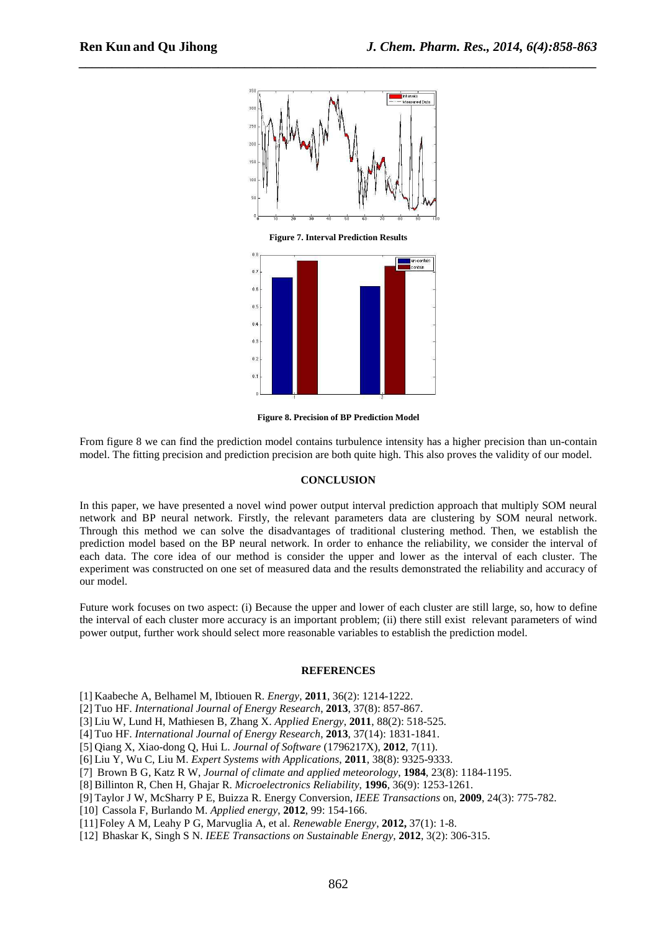

*\_\_\_\_\_\_\_\_\_\_\_\_\_\_\_\_\_\_\_\_\_\_\_\_\_\_\_\_\_\_\_\_\_\_\_\_\_\_\_\_\_\_\_\_\_\_\_\_\_\_\_\_\_\_\_\_\_\_\_\_\_\_\_\_\_\_\_\_\_\_\_\_\_\_\_\_\_\_*

**Figure 8. Precision of BP Prediction Model** 

From figure 8 we can find the prediction model contains turbulence intensity has a higher precision than un-contain model. The fitting precision and prediction precision are both quite high. This also proves the validity of our model.

#### **CONCLUSION**

In this paper, we have presented a novel wind power output interval prediction approach that multiply SOM neural network and BP neural network. Firstly, the relevant parameters data are clustering by SOM neural network. Through this method we can solve the disadvantages of traditional clustering method. Then, we establish the prediction model based on the BP neural network. In order to enhance the reliability, we consider the interval of each data. The core idea of our method is consider the upper and lower as the interval of each cluster. The experiment was constructed on one set of measured data and the results demonstrated the reliability and accuracy of our model.

Future work focuses on two aspect: (i) Because the upper and lower of each cluster are still large, so, how to define the interval of each cluster more accuracy is an important problem; (ii) there still exist relevant parameters of wind power output, further work should select more reasonable variables to establish the prediction model.

### **REFERENCES**

[1] Kaabeche A, Belhamel M, Ibtiouen R. *Energy*, **2011**, 36(2): 1214-1222.

[2] Tuo HF. *International Journal of Energy Research*, **2013**, 37(8): 857-867.

[3] Liu W, Lund H, Mathiesen B, Zhang X. *Applied Energy*, **2011**, 88(2): 518-525.

[4] Tuo HF. *International Journal of Energy Research*, **2013**, 37(14): 1831-1841.

[5] Qiang X, Xiao-dong Q, Hui L. *Journal of Software* (1796217X), **2012**, 7(11).

[6] Liu Y, Wu C, Liu M. *Expert Systems with Applications*, **2011**, 38(8): 9325-9333.

[7] Brown B G, Katz R W, *Journal of climate and applied meteorology*, **1984**, 23(8): 1184-1195.

[8] Billinton R, Chen H, Ghajar R. *Microelectronics Reliability*, **1996**, 36(9): 1253-1261.

[9] Taylor J W, McSharry P E, Buizza R. Energy Conversion, *IEEE Transactions* on, **2009**, 24(3): 775-782.

[10] Cassola F, Burlando M. *Applied energy*, **2012**, 99: 154-166.

[11]Foley A M, Leahy P G, Marvuglia A, et al. *Renewable Energy*, **2012,** 37(1): 1-8.

[12] Bhaskar K, Singh S N. *IEEE Transactions on Sustainable Energy*, **2012**, 3(2): 306-315.